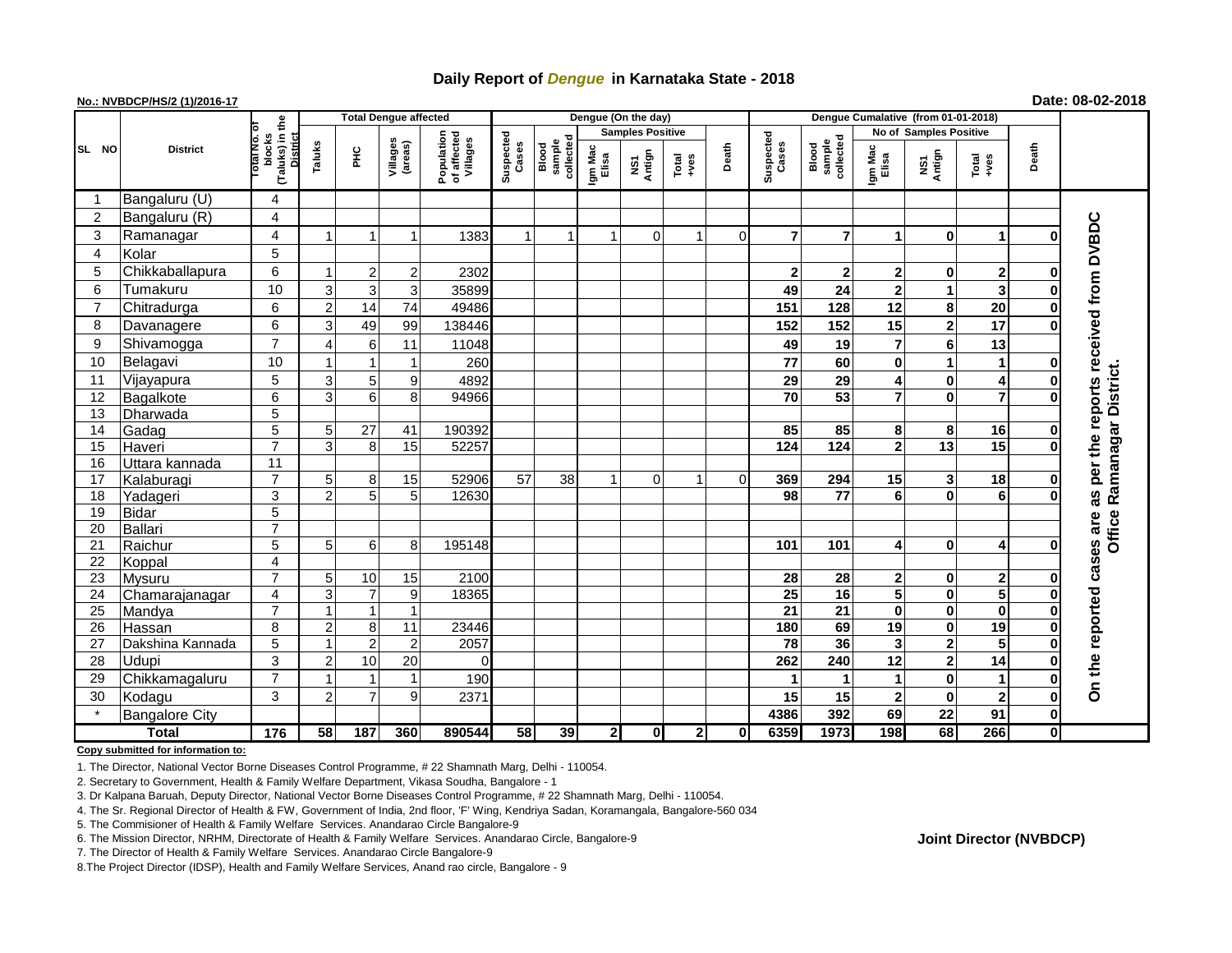## **Daily Report of** *Dengue* **in Karnataka State - 2018**

## **No.: NVBDCP/HS/2 (1)/2016-17 Date: 08-02-2018**

|                | <b>District</b>       |                                                   | <b>Total Dengue affected</b> |                |                     |                                       |                    |                              |                         | Dengue (On the day)            |               |             |                    |                                                                   |                |                         |                |              |                             |
|----------------|-----------------------|---------------------------------------------------|------------------------------|----------------|---------------------|---------------------------------------|--------------------|------------------------------|-------------------------|--------------------------------|---------------|-------------|--------------------|-------------------------------------------------------------------|----------------|-------------------------|----------------|--------------|-----------------------------|
|                |                       |                                                   |                              |                |                     |                                       | Suspected<br>Cases |                              | <b>Samples Positive</b> |                                |               |             |                    |                                                                   |                | No of Samples Positive  |                |              |                             |
| SL NO          |                       | (Taluks) in the<br>blocks<br>District<br>otal No. | Taluks                       | ĔС             | Villages<br>(areas) | Population<br>of affected<br>Villages |                    | collected<br>sample<br>Blood | Igm Mac<br>Elisa        | Antign<br>$\mathbf{\tilde{s}}$ | Total<br>+ves | Death       | Suspected<br>Cases | sample<br>collected<br>Blood<br>Igm Mac<br>Elisa<br>NS1<br>Antign | Total<br>+ves  | Death                   |                |              |                             |
| -1             | Bangaluru (U)         | 4                                                 |                              |                |                     |                                       |                    |                              |                         |                                |               |             |                    |                                                                   |                |                         |                |              |                             |
| $\overline{c}$ | Bangaluru (R)         | 4                                                 |                              |                |                     |                                       |                    |                              |                         |                                |               |             |                    |                                                                   |                |                         |                |              |                             |
| 3              | Ramanagar             | 4                                                 |                              |                |                     | 1383                                  |                    |                              | -1                      | $\Omega$                       | $\mathbf 1$   | $\mathbf 0$ | $\overline{7}$     | $\overline{7}$                                                    |                | 0                       | 1              | O            | reports received from DVBDC |
| 4              | Kolar                 | $\overline{5}$                                    |                              |                |                     |                                       |                    |                              |                         |                                |               |             |                    |                                                                   |                |                         |                |              |                             |
| 5              | Chikkaballapura       | 6                                                 |                              | $2 \mid$       | $\overline{2}$      | 2302                                  |                    |                              |                         |                                |               |             | $\mathbf{2}$       | $\mathbf{2}$                                                      | 2              | 0                       | 2              | 0            |                             |
| 6              | Tumakuru              | 10                                                | 3                            | $\overline{3}$ | 3                   | 35899                                 |                    |                              |                         |                                |               |             | 49                 | 24                                                                | $\mathbf{2}$   | 1                       | 3              | 0            |                             |
| $\overline{7}$ | Chitradurga           | 6                                                 | $\overline{2}$               | 14             | 74                  | 49486                                 |                    |                              |                         |                                |               |             | 151                | 128                                                               | 12             | 8                       | 20             | $\bf{0}$     |                             |
| 8              | Davanagere            | 6                                                 | 3                            | 49             | 99                  | 138446                                |                    |                              |                         |                                |               |             | 152                | 152                                                               | 15             | $\overline{\mathbf{2}}$ | 17             | $\bf{0}$     |                             |
| 9              | Shivamogga            | $\overline{7}$                                    |                              | $6 \mid$       | 11                  | 11048                                 |                    |                              |                         |                                |               |             | 49                 | 19                                                                | $\overline{7}$ | 6                       | 13             |              |                             |
| 10             | Belagavi              | 10                                                |                              |                |                     | 260                                   |                    |                              |                         |                                |               |             | 77                 | 60                                                                | $\mathbf 0$    | 1                       | 1              | 0            |                             |
| 11             | Vijayapura            | 5                                                 | 3                            | 5 <sub>5</sub> | 9                   | 4892                                  |                    |                              |                         |                                |               |             | 29                 | 29                                                                | 4              | 0                       | 4              | 0            | Office Ramanagar District.  |
| 12             | Bagalkote             | $\overline{6}$                                    | 3                            | 6 <sup>1</sup> | 8                   | 94966                                 |                    |                              |                         |                                |               |             | $\overline{70}$    | 53                                                                | $\overline{7}$ | $\bf{0}$                | $\overline{7}$ | $\bf{0}$     |                             |
| 13             | Dharwada              | $\overline{5}$                                    |                              |                |                     |                                       |                    |                              |                         |                                |               |             |                    |                                                                   |                |                         |                |              |                             |
| 14             | Gadag                 | $\overline{5}$                                    | 5 <sup>1</sup>               | 27             | 41                  | 190392                                |                    |                              |                         |                                |               |             | 85                 | 85                                                                | 8              | 8                       | 16             | $\mathbf 0$  |                             |
| 15             | Haveri                | $\overline{7}$                                    | 3                            | 8 <sup>1</sup> | 15                  | 52257                                 |                    |                              |                         |                                |               |             | $\frac{1}{124}$    | $\overline{124}$                                                  | $\overline{2}$ | $\overline{13}$         | 15             | $\bf{0}$     | per the                     |
| 16             | Uttara kannada        | $\overline{11}$                                   |                              |                |                     |                                       |                    |                              |                         |                                |               |             |                    |                                                                   |                |                         |                |              |                             |
| 17             | Kalaburagi            | $\overline{7}$                                    | 5 <sup>5</sup>               | 8 <sup>1</sup> | 15                  | 52906                                 | 57                 | 38                           | 1                       | $\mathbf 0$                    | 1             | $\mathbf 0$ | 369                | 294                                                               | 15             | 3                       | 18             | $\mathbf 0$  |                             |
| 18             | Yadageri              | 3                                                 | $\mathcal{P}$                | 5 <sub>5</sub> | 5 <sub>l</sub>      | 12630                                 |                    |                              |                         |                                |               |             | 98                 | 77                                                                | 6              | 0                       | 6              | O            | 88                          |
| 19             | <b>Bidar</b>          | $\overline{5}$                                    |                              |                |                     |                                       |                    |                              |                         |                                |               |             |                    |                                                                   |                |                         |                |              |                             |
| 20             | <b>Ballari</b>        | $\overline{7}$                                    |                              |                |                     |                                       |                    |                              |                         |                                |               |             |                    |                                                                   |                |                         |                |              | are                         |
| 21             | Raichur               | $\overline{5}$                                    | 5 <sup>1</sup>               | $6 \mid$       | 8                   | 195148                                |                    |                              |                         |                                |               |             | 101                | 101                                                               | 4              | 0                       | 4              | O            | cases                       |
| 22             | Koppal                | 4                                                 |                              |                |                     |                                       |                    |                              |                         |                                |               |             |                    |                                                                   |                |                         |                |              |                             |
| 23             | Mysuru                | $\overline{7}$                                    | 5 <sup>1</sup>               | 10             | 15                  | 2100                                  |                    |                              |                         |                                |               |             | 28                 | 28                                                                | $\mathbf{2}$   | 0                       | $\mathbf 2$    | $\bf{0}$     |                             |
| 24             | Chamarajanagar        | 4                                                 | 3                            | $\overline{7}$ | 9                   | 18365                                 |                    |                              |                         |                                |               |             | 25                 | 16                                                                | 5              | 0                       | 5              | $\bf{0}$     |                             |
| 25             | Mandya                | $\overline{7}$                                    |                              | $\mathbf 1$    | $\mathbf{1}$        |                                       |                    |                              |                         |                                |               |             | $\overline{21}$    | 21                                                                | 0              | 0                       | $\bf{0}$       | $\bf{0}$     |                             |
| 26             | Hassan                | 8                                                 | 2                            | 8              | 11                  | 23446                                 |                    |                              |                         |                                |               |             | 180                | 69                                                                | 19             | 0                       | 19             | 0            |                             |
| 27             | Dakshina Kannada      | 5                                                 |                              | $\overline{2}$ | $\overline{2}$      | 2057                                  |                    |                              |                         |                                |               |             | 78                 | 36                                                                | 3              | 2                       | 5              | $\bf{0}$     |                             |
| 28             | Udupi                 | $\mathfrak{S}$                                    | $\overline{2}$               | 10             | 20                  | $\Omega$                              |                    |                              |                         |                                |               |             | 262                | 240                                                               | 12             | $\overline{\mathbf{2}}$ | 14             | $\bf{0}$     |                             |
| 29             | Chikkamagaluru        | $\overline{7}$                                    |                              |                | 1                   | 190                                   |                    |                              |                         |                                |               |             | 1                  |                                                                   | 1              | 0                       | $\mathbf{1}$   | $\mathbf 0$  | On the reported             |
| 30             | Kodagu                | 3                                                 | 2                            | $\overline{7}$ | 9                   | 2371                                  |                    |                              |                         |                                |               |             | 15                 | 15                                                                | $\mathbf{2}$   | $\bf{0}$                | $\overline{2}$ | $\mathbf 0$  |                             |
|                | <b>Bangalore City</b> |                                                   |                              |                |                     |                                       |                    |                              |                         |                                |               |             | 4386               | 392                                                               | 69             | 22                      | 91             | $\mathbf 0$  |                             |
| <b>Total</b>   |                       | $\frac{1}{176}$                                   | 58                           | 187            | 360                 | 890544                                | 58                 | 39                           | 2 <sup>1</sup>          | $\mathbf{0}$                   | $\mathbf{2}$  | 0           | 6359               | 1973                                                              | 198            | 68                      | 266            | $\mathbf{0}$ |                             |

**Copy submitted for information to:**

1. The Director, National Vector Borne Diseases Control Programme, # 22 Shamnath Marg, Delhi - 110054.

2. Secretary to Government, Health & Family Welfare Department, Vikasa Soudha, Bangalore - 1

3. Dr Kalpana Baruah, Deputy Director, National Vector Borne Diseases Control Programme, # 22 Shamnath Marg, Delhi - 110054.

4. The Sr. Regional Director of Health & FW, Government of India, 2nd floor, 'F' Wing, Kendriya Sadan, Koramangala, Bangalore-560 034

5. The Commisioner of Health & Family Welfare Services. Anandarao Circle Bangalore-9

7. The Director of Health & Family Welfare Services. Anandarao Circle Bangalore-9

8.The Project Director (IDSP), Health and Family Welfare Services, Anand rao circle, Bangalore - 9

## **Joint Director (NVBDCP)**

<sup>6.</sup> The Mission Director, NRHM, Directorate of Health & Family Welfare Services. Anandarao Circle, Bangalore-9